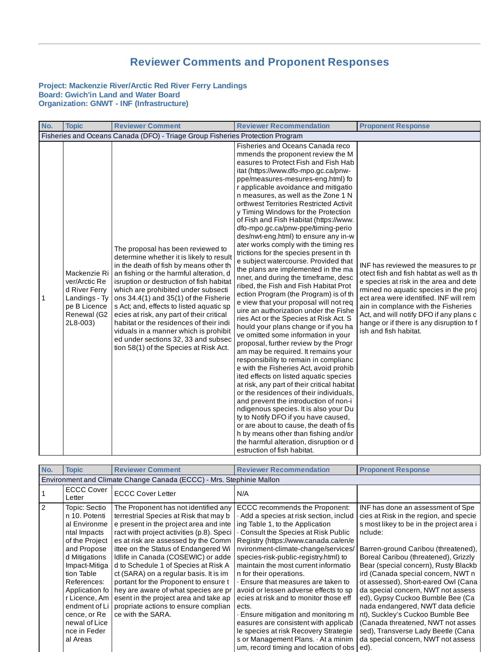## **Reviewer Comments and Proponent Responses**

## **Project: Mackenzie River/Arctic Red River Ferry Landings Board: Gwich'in Land and Water Board Organization: GNWT - INF (Infrastructure)**

| No. | <b>Topic</b>                                                                                               | <b>Reviewer Comment</b>                                                                                                                                                                                                                                                                                                                                                                                                                                                                                                                                          | <b>Reviewer Recommendation</b>                                                                                                                                                                                                                                                                                                                                                                                                                                                                                                                                                                                                                                                                                                                                                                                                                                                                                                                                                                                                                                                                                                                                                                                                                                                                                                                                                                                                                                                                                                                                                             | <b>Proponent Response</b>                                                                                                                                                                                                                                                                                                                                            |
|-----|------------------------------------------------------------------------------------------------------------|------------------------------------------------------------------------------------------------------------------------------------------------------------------------------------------------------------------------------------------------------------------------------------------------------------------------------------------------------------------------------------------------------------------------------------------------------------------------------------------------------------------------------------------------------------------|--------------------------------------------------------------------------------------------------------------------------------------------------------------------------------------------------------------------------------------------------------------------------------------------------------------------------------------------------------------------------------------------------------------------------------------------------------------------------------------------------------------------------------------------------------------------------------------------------------------------------------------------------------------------------------------------------------------------------------------------------------------------------------------------------------------------------------------------------------------------------------------------------------------------------------------------------------------------------------------------------------------------------------------------------------------------------------------------------------------------------------------------------------------------------------------------------------------------------------------------------------------------------------------------------------------------------------------------------------------------------------------------------------------------------------------------------------------------------------------------------------------------------------------------------------------------------------------------|----------------------------------------------------------------------------------------------------------------------------------------------------------------------------------------------------------------------------------------------------------------------------------------------------------------------------------------------------------------------|
|     |                                                                                                            | Fisheries and Oceans Canada (DFO) - Triage Group Fisheries Protection Program                                                                                                                                                                                                                                                                                                                                                                                                                                                                                    |                                                                                                                                                                                                                                                                                                                                                                                                                                                                                                                                                                                                                                                                                                                                                                                                                                                                                                                                                                                                                                                                                                                                                                                                                                                                                                                                                                                                                                                                                                                                                                                            |                                                                                                                                                                                                                                                                                                                                                                      |
| 1   | Mackenzie Ri<br>ver/Arctic Re<br>d River Ferry<br>Landings - Ty<br>pe B Licence<br>Renewal (G2<br>2L8-003) | The proposal has been reviewed to<br>determine whether it is likely to result<br>in the death of fish by means other th<br>an fishing or the harmful alteration, d<br>isruption or destruction of fish habitat<br>which are prohibited under subsecti<br>ons $34.4(1)$ and $35(1)$ of the Fisherie<br>s Act; and, effects to listed aquatic sp<br>ecies at risk, any part of their critical<br>habitat or the residences of their indi<br>viduals in a manner which is prohibit<br>ed under sections 32, 33 and subsec<br>tion 58(1) of the Species at Risk Act. | Fisheries and Oceans Canada reco<br>mmends the proponent review the M<br>easures to Protect Fish and Fish Hab<br>itat (https://www.dfo-mpo.gc.ca/pnw-<br>ppe/measures-mesures-eng.html) fo<br>r applicable avoidance and mitigatio<br>n measures, as well as the Zone 1 N<br>orthwest Territories Restricted Activit<br>y Timing Windows for the Protection<br>of Fish and Fish Habitat (https://www.<br>dfo-mpo.gc.ca/pnw-ppe/timing-perio<br>des/nwt-eng.html) to ensure any in-w<br>ater works comply with the timing res<br>trictions for the species present in th<br>e subject watercourse. Provided that<br>the plans are implemented in the ma<br>nner, and during the timeframe, desc<br>ribed, the Fish and Fish Habitat Prot<br>ection Program (the Program) is of th<br>e view that your proposal will not req<br>uire an authorization under the Fishe<br>ries Act or the Species at Risk Act. S<br>hould your plans change or if you ha<br>ve omitted some information in your<br>proposal, further review by the Progr<br>am may be required. It remains your<br>responsibility to remain in complianc<br>e with the Fisheries Act, avoid prohib<br>ited effects on listed aquatic species<br>at risk, any part of their critical habitat<br>or the residences of their individuals,<br>and prevent the introduction of non-i<br>ndigenous species. It is also your Du<br>ty to Notify DFO if you have caused,<br>or are about to cause, the death of fis<br>h by means other than fishing and/or<br>the harmful alteration, disruption or d<br>estruction of fish habitat. | INF has reviewed the measures to pr<br>otect fish and fish habtat as well as the<br>e species at risk in the area and dete<br>rmined no aquatic species in the proj<br>ect area were identified. INF will rem<br>ain in complance with the Fisheries<br>Act, and will notify DFO if any plans c<br>hange or if there is any disruption to f<br>ish and fish habitat. |

| No.           | <b>Topic</b>                                                         | <b>Reviewer Comment</b>                   | <b>Reviewer Recommendation</b>                | <b>Proponent Response</b>                |  |
|---------------|----------------------------------------------------------------------|-------------------------------------------|-----------------------------------------------|------------------------------------------|--|
|               |                                                                      |                                           |                                               |                                          |  |
|               | Environment and Climate Change Canada (ECCC) - Mrs. Stephinie Mallon |                                           |                                               |                                          |  |
|               | <b>ECCC Cover</b>                                                    | <b>ECCC Cover Letter</b>                  | N/A                                           |                                          |  |
|               | Letter                                                               |                                           |                                               |                                          |  |
| $\mathcal{P}$ | Topic: Sectio                                                        | The Proponent has not identified any      | ECCC recommends the Proponent:                | INF has done an assessment of Spe        |  |
|               | n 10. Potenti                                                        | terrestrial Species at Risk that may b    | $\cdot$ Add a species at risk section, includ | cies at Risk in the region, and specie   |  |
|               | al Environme                                                         | e present in the project area and inte    | ing Table 1, to the Application               | s most likey to be in the project area i |  |
|               | ntal Impacts                                                         | ract with project activities (p.8). Speci | Consult the Species at Risk Public            | nclude:                                  |  |
|               | of the Project                                                       | es at risk are assessed by the Comm       | Registry (https://www.canada.ca/en/e          |                                          |  |
|               | and Propose                                                          | ittee on the Status of Endangered Wi      | nvironment-climate-change/services/           | Barren-ground Caribou (threatened),      |  |
|               | d Mitigations                                                        | Idlife in Canada (COSEWIC) or adde        | species-risk-public-registry.html) to         | Boreal Caribou (threatened), Grizzly     |  |
|               | Impact-Mitiga                                                        | d to Schedule 1 of Species at Risk A      | maintain the most current informatio          | Bear (special concern), Rusty Blackb     |  |
|               | tion Table                                                           | ct (SARA) on a regular basis. It is im    | n for their operations.                       | ird (Canada special concern, NWT n       |  |
|               | References:                                                          | portant for the Proponent to ensure t     | · Ensure that measures are taken to           | ot assessed), Short-eared Owl (Cana      |  |
|               | Application fo                                                       | hey are aware of what species are pr      | avoid or lessen adverse effects to sp         | da special concern, NWT not assess       |  |
|               | r Licence, Am                                                        | esent in the project area and take ap     | ecies at risk and to monitor those eff        | ed), Gypsy Cuckoo Bumble Bee (Ca         |  |
|               | endment of Li                                                        | propriate actions to ensure complian      | ects.                                         | nada endangered, NWT data deficie        |  |
|               | cence, or Re                                                         | ce with the SARA.                         | Ensure mitigation and monitoring m            | nt), Suckley's Cuckoo Bumble Bee         |  |
|               | newal of Lice                                                        |                                           | easures are consistent with applicab          | (Canada threatened, NWT not asses        |  |
|               | nce in Feder                                                         |                                           | le species at risk Recovery Strategie         | sed), Transverse Lady Beetle (Cana       |  |
|               | al Areas                                                             |                                           | s or Management Plans. At a minim             | da special concern, NWT not assess       |  |
|               |                                                                      |                                           | um, record timing and location of obs         | ed).                                     |  |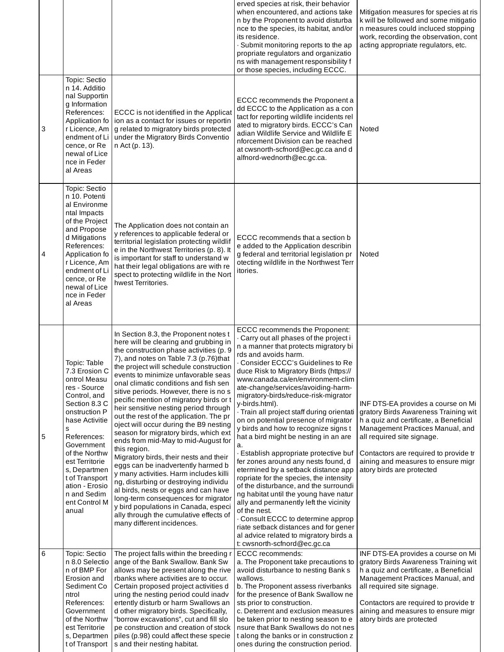|   |                                                                                                                                                                                                                                                                                                     |                                                                                                                                                                                                                                                                                                                                                                                                                                                                                                                                                                                                                                                                                                                                                                                                                                                                                                                                                                                   | erved species at risk, their behavior<br>when encountered, and actions take<br>n by the Proponent to avoid disturba<br>nce to the species, its habitat, and/or<br>its residence.<br>· Submit monitoring reports to the ap<br>propriate regulators and organizatio<br>ns with management responsibility f<br>or those species, including ECCC.                                                                                                                                                                                                                                                                                                                                                                                                                                                                                                                                                                                                                                                                    | Mitigation measures for species at ris<br>k will be followed and some mitigatio<br>n measures could incluced stopping<br>work, recording the observation, cont<br>acting appropriate regulators, etc.                                                                                              |
|---|-----------------------------------------------------------------------------------------------------------------------------------------------------------------------------------------------------------------------------------------------------------------------------------------------------|-----------------------------------------------------------------------------------------------------------------------------------------------------------------------------------------------------------------------------------------------------------------------------------------------------------------------------------------------------------------------------------------------------------------------------------------------------------------------------------------------------------------------------------------------------------------------------------------------------------------------------------------------------------------------------------------------------------------------------------------------------------------------------------------------------------------------------------------------------------------------------------------------------------------------------------------------------------------------------------|------------------------------------------------------------------------------------------------------------------------------------------------------------------------------------------------------------------------------------------------------------------------------------------------------------------------------------------------------------------------------------------------------------------------------------------------------------------------------------------------------------------------------------------------------------------------------------------------------------------------------------------------------------------------------------------------------------------------------------------------------------------------------------------------------------------------------------------------------------------------------------------------------------------------------------------------------------------------------------------------------------------|----------------------------------------------------------------------------------------------------------------------------------------------------------------------------------------------------------------------------------------------------------------------------------------------------|
| 3 | Topic: Sectio<br>n 14. Additio<br>nal Supportin<br>g Information<br>References:<br>Application fo<br>cence, or Re<br>newal of Lice<br>nce in Feder<br>al Areas                                                                                                                                      | ECCC is not identified in the Applicat<br>ion as a contact for issues or reportin<br>r Licence, Am   g related to migratory birds protected<br>endment of Li   under the Migratory Birds Conventio<br>n Act (p. 13).                                                                                                                                                                                                                                                                                                                                                                                                                                                                                                                                                                                                                                                                                                                                                              | ECCC recommends the Proponent a<br>dd ECCC to the Application as a con<br>tact for reporting wildlife incidents rel<br>ated to migratory birds. ECCC's Can<br>adian Wildlife Service and Wildlife E<br>nforcement Division can be reached<br>at cwsnorth-scfnord@ec.gc.ca and d<br>alfnord-wednorth@ec.gc.ca.                                                                                                                                                                                                                                                                                                                                                                                                                                                                                                                                                                                                                                                                                                    | Noted                                                                                                                                                                                                                                                                                              |
| 4 | Topic: Sectio<br>n 10. Potenti<br>al Environme<br>ntal Impacts<br>of the Project<br>and Propose<br>d Mitigations<br>References:<br>Application fo<br>r Licence, Am<br>endment of Li<br>cence, or Re<br>newal of Lice<br>nce in Feder<br>al Areas                                                    | The Application does not contain an<br>y references to applicable federal or<br>territorial legislation protecting wildlif<br>e in the Northwest Territories (p. 8). It<br>is important for staff to understand w<br>hat their legal obligations are with re<br>spect to protecting wildlife in the Nort<br>hwest Territories.                                                                                                                                                                                                                                                                                                                                                                                                                                                                                                                                                                                                                                                    | ECCC recommends that a section b<br>e added to the Application describin<br>g federal and territorial legislation pr<br>otecting wildlife in the Northwest Terr<br>itories.                                                                                                                                                                                                                                                                                                                                                                                                                                                                                                                                                                                                                                                                                                                                                                                                                                      | Noted                                                                                                                                                                                                                                                                                              |
| 5 | Topic: Table<br>7.3 Erosion C<br>ontrol Measu<br>res - Source<br>Control, and<br>Section 8.3 C<br>onstruction P<br>hase Activitie<br>S<br>References:<br>Government<br>of the Northw<br>est Territorie<br>s, Departmen<br>t of Transport<br>ation - Erosio<br>n and Sedim<br>ent Control M<br>anual | In Section 8.3, the Proponent notes t<br>here will be clearing and grubbing in<br>the construction phase activities (p. 9<br>7), and notes on Table 7.3 (p.76)that<br>the project will schedule construction<br>events to minimize unfavorable seas<br>onal climatic conditions and fish sen<br>sitive periods. However, there is no s<br>pecific mention of migratory birds or t<br>heir sensitive nesting period through<br>out the rest of the application. The pr<br>oject will occur during the B9 nesting<br>season for migratory birds, which ext<br>ends from mid-May to mid-August for<br>this region.<br>Migratory birds, their nests and their<br>eggs can be inadvertently harmed b<br>y many activities. Harm includes killi<br>ng, disturbing or destroying individu<br>al birds, nests or eggs and can have<br>long-term consequences for migrator<br>y bird populations in Canada, especi<br>ally through the cumulative effects of<br>many different incidences. | ECCC recommends the Proponent:<br>. Carry out all phases of the project i<br>n a manner that protects migratory bi<br>rds and avoids harm.<br>Consider ECCC's Guidelines to Re<br>duce Risk to Migratory Birds (https://<br>www.canada.ca/en/environment-clim<br>ate-change/services/avoiding-harm-<br>migratory-birds/reduce-risk-migrator<br>y-birds.html).<br>· Train all project staff during orientati<br>on on potential presence of migrator<br>y birds and how to recognize signs t<br>hat a bird might be nesting in an are<br>a.<br>· Establish appropriate protective buf<br>fer zones around any nests found, d<br>etermined by a setback distance app<br>ropriate for the species, the intensity<br>of the disturbance, and the surroundi<br>ng habitat until the young have natur<br>ally and permanently left the vicinity<br>of the nest.<br>Consult ECCC to determine approp<br>riate setback distances and for gener<br>al advice related to migratory birds a<br>t: cwsnorth-scfnord@ec.gc.ca | INF DTS-EA provides a course on Mi<br>gratory Birds Awareness Training wit<br>h a quiz and certificate, a Beneficial<br>Management Practices Manual, and<br>all required site signage.<br>Contactors are required to provide tr<br>aining and measures to ensure migr<br>atory birds are protected |
| 6 | Topic: Sectio<br>n 8.0 Selectio<br>n of BMP For<br>Erosion and<br>Sediment Co<br>ntrol<br>References:<br>Government<br>of the Northw<br>est Territorie<br>s, Departmen<br>t of Transport                                                                                                            | The project falls within the breeding r<br>ange of the Bank Swallow. Bank Sw<br>allows may be present along the rive<br>rbanks where activities are to occur.<br>Certain proposed project activities d<br>uring the nesting period could inadv<br>ertently disturb or harm Swallows an<br>d other migratory birds. Specifically,<br>"borrow excavations", cut and fill slo<br>pe construction and creation of stock<br>piles (p.98) could affect these specie<br>s and their nesting habitat.                                                                                                                                                                                                                                                                                                                                                                                                                                                                                     | ECCC recommends:<br>a. The Proponent take precautions to<br>avoid disturbance to nesting Bank s<br>wallows.<br>b. The Proponent assess riverbanks<br>for the presence of Bank Swallow ne<br>sts prior to construction.<br>c. Deterrent and exclusion measures<br>be taken prior to nesting season to e<br>nsure that Bank Swallows do not nes<br>t along the banks or in construction z<br>ones during the construction period.                                                                                                                                                                                                                                                                                                                                                                                                                                                                                                                                                                                  | INF DTS-EA provides a course on Mi<br>gratory Birds Awareness Training wit<br>h a quiz and certificate, a Beneficial<br>Management Practices Manual, and<br>all required site signage.<br>Contactors are required to provide tr<br>aining and measures to ensure migr<br>atory birds are protected |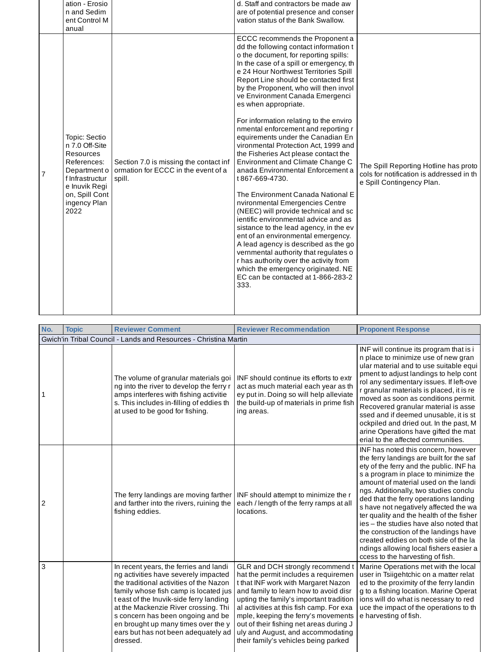|   | ation - Erosio<br>n and Sedim<br>ent Control M<br>anual                                                                                                          |                                                                                         | d. Staff and contractors be made aw<br>are of potential presence and conser<br>vation status of the Bank Swallow.                                                                                                                                                                                                                                                                                                                                                                                                                                                                                                                                                                                                                                                                                                                                                                                                                                                                                                                                                                                           |                                                                                                                 |
|---|------------------------------------------------------------------------------------------------------------------------------------------------------------------|-----------------------------------------------------------------------------------------|-------------------------------------------------------------------------------------------------------------------------------------------------------------------------------------------------------------------------------------------------------------------------------------------------------------------------------------------------------------------------------------------------------------------------------------------------------------------------------------------------------------------------------------------------------------------------------------------------------------------------------------------------------------------------------------------------------------------------------------------------------------------------------------------------------------------------------------------------------------------------------------------------------------------------------------------------------------------------------------------------------------------------------------------------------------------------------------------------------------|-----------------------------------------------------------------------------------------------------------------|
| 7 | Topic: Sectio<br>n 7.0 Off-Site<br><b>Resources</b><br>References:<br>Department o<br>f Infrastructur<br>e Inuvik Regi<br>on, Spill Cont<br>ingency Plan<br>2022 | Section 7.0 is missing the contact inf<br>ormation for ECCC in the event of a<br>spill. | ECCC recommends the Proponent a<br>dd the following contact information t<br>o the document, for reporting spills:<br>In the case of a spill or emergency, th<br>e 24 Hour Northwest Territories Spill<br>Report Line should be contacted first<br>by the Proponent, who will then invol<br>ve Environment Canada Emergenci<br>es when appropriate.<br>For information relating to the enviro<br>nmental enforcement and reporting r<br>equirements under the Canadian En<br>vironmental Protection Act, 1999 and<br>the Fisheries Act please contact the<br>Environment and Climate Change C<br>anada Environmental Enforcement a<br>t867-669-4730.<br>The Environment Canada National E<br>nvironmental Emergencies Centre<br>(NEEC) will provide technical and sc<br>jentific environmental advice and as<br>sistance to the lead agency, in the ev<br>ent of an environmental emergency.<br>A lead agency is described as the go<br>vernmental authority that regulates o<br>r has authority over the activity from<br>which the emergency originated. NE<br>EC can be contacted at 1-866-283-2<br>333. | The Spill Reporting Hotline has proto<br>cols for notification is addressed in the<br>e Spill Contingency Plan. |

| No.                                                              | <b>Topic</b> | <b>Reviewer Comment</b>                                                                                                                                                                                                                                                                                                                                                              | <b>Reviewer Recommendation</b>                                                                                                                                                                                                                                                                                                                                                                                 | <b>Proponent Response</b>                                                                                                                                                                                                                                                                                                                                                                                                                                                                                                                                                                   |  |  |
|------------------------------------------------------------------|--------------|--------------------------------------------------------------------------------------------------------------------------------------------------------------------------------------------------------------------------------------------------------------------------------------------------------------------------------------------------------------------------------------|----------------------------------------------------------------------------------------------------------------------------------------------------------------------------------------------------------------------------------------------------------------------------------------------------------------------------------------------------------------------------------------------------------------|---------------------------------------------------------------------------------------------------------------------------------------------------------------------------------------------------------------------------------------------------------------------------------------------------------------------------------------------------------------------------------------------------------------------------------------------------------------------------------------------------------------------------------------------------------------------------------------------|--|--|
| Gwich'in Tribal Council - Lands and Resources - Christina Martin |              |                                                                                                                                                                                                                                                                                                                                                                                      |                                                                                                                                                                                                                                                                                                                                                                                                                |                                                                                                                                                                                                                                                                                                                                                                                                                                                                                                                                                                                             |  |  |
| 1                                                                |              | The volume of granular materials goi<br>ng into the river to develop the ferry r<br>amps interferes with fishing activitie<br>s. This includes in-filling of eddies th<br>at used to be good for fishing.                                                                                                                                                                            | INF should continue its efforts to extr<br>act as much material each year as th<br>ey put in. Doing so will help alleviate<br>the build-up of materials in prime fish<br>ing areas.                                                                                                                                                                                                                            | INF will continue its program that is i<br>n place to minimize use of new gran<br>ular material and to use suitable equi<br>pment to adjust landings to help cont<br>rol any sedimentary issues. If left-ove<br>r granular materials is placed, it is re<br>moved as soon as conditions permit.<br>Recovered granular material is asse<br>ssed and if deemed unusable, it is st<br>ockpiled and dried out. In the past, M<br>arine Operations have gifted the mat<br>erial to the affected communities.                                                                                     |  |  |
| $\overline{2}$                                                   |              | The ferry landings are moving farther<br>and farther into the rivers, ruining the<br>fishing eddies.                                                                                                                                                                                                                                                                                 | INF should attempt to minimize the r<br>each / length of the ferry ramps at all<br>locations.                                                                                                                                                                                                                                                                                                                  | INF has noted this concern, however<br>the ferry landings are built for the saf<br>ety of the ferry and the public. INF ha<br>s a program in place to minimize the<br>amount of material used on the landi<br>ngs. Additionally, two studies conclu<br>ded that the ferry operations landing<br>s have not negatively affected the wa<br>ter quality and the health of the fisher<br>ies - the studies have also noted that<br>the construction of the landings have<br>created eddies on both side of the la<br>ndings allowing local fishers easier a<br>ccess to the harvesting of fish. |  |  |
| 3                                                                |              | In recent years, the ferries and landi<br>ng activities have severely impacted<br>the traditional activities of the Nazon<br>family whose fish camp is located jus<br>t east of the Inuvik-side ferry landing<br>at the Mackenzie River crossing. Thi<br>s concern has been ongoing and be<br>en brought up many times over the y<br>ears but has not been adequately ad<br>dressed. | GLR and DCH strongly recommend t<br>hat the permit includes a requiremen<br>t that INF work with Margaret Nazon<br>and family to learn how to avoid disr<br>upting the family's important tradition<br>al activities at this fish camp. For exa<br>mple, keeping the ferry's movements<br>out of their fishing net areas during J<br>uly and August, and accommodating<br>their family's vehicles being parked | Marine Operations met with the local<br>user in Tsiigehtchic on a matter relat<br>ed to the proximity of the ferry landin<br>g to a fishing location. Marine Operat<br>ions will do what is necessary to red<br>uce the impact of the operations to th<br>e harvesting of fish.                                                                                                                                                                                                                                                                                                             |  |  |